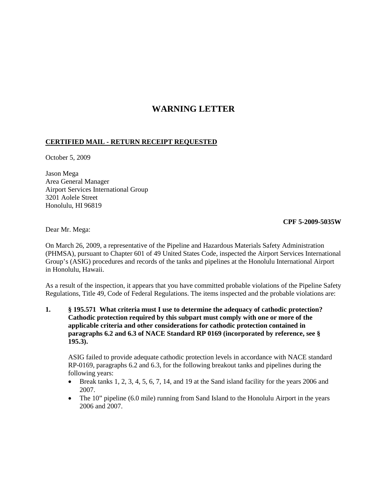## **WARNING LETTER**

## **CERTIFIED MAIL - RETURN RECEIPT REQUESTED**

October 5, 2009

Jason Mega Area General Manager Airport Services International Group 3201 Aolele Street Honolulu, HI 96819

## **CPF 5-2009-5035W**

Dear Mr. Mega:

On March 26, 2009, a representative of the Pipeline and Hazardous Materials Safety Administration (PHMSA), pursuant to Chapter 601 of 49 United States Code, inspected the Airport Services International Group's (ASIG) procedures and records of the tanks and pipelines at the Honolulu International Airport in Honolulu, Hawaii.

As a result of the inspection, it appears that you have committed probable violations of the Pipeline Safety Regulations, Title 49, Code of Federal Regulations. The items inspected and the probable violations are:

**1. § 195.571 What criteria must I use to determine the adequacy of cathodic protection? Cathodic protection required by this subpart must comply with one or more of the applicable criteria and other considerations for cathodic protection contained in paragraphs 6.2 and 6.3 of NACE Standard RP 0169 (incorporated by reference, see § 195.3).**

ASIG failed to provide adequate cathodic protection levels in accordance with NACE standard RP-0169, paragraphs 6.2 and 6.3, for the following breakout tanks and pipelines during the following years:

- Break tanks 1, 2, 3, 4, 5, 6, 7, 14, and 19 at the Sand island facility for the years 2006 and 2007.
- The 10" pipeline (6.0 mile) running from Sand Island to the Honolulu Airport in the years 2006 and 2007.